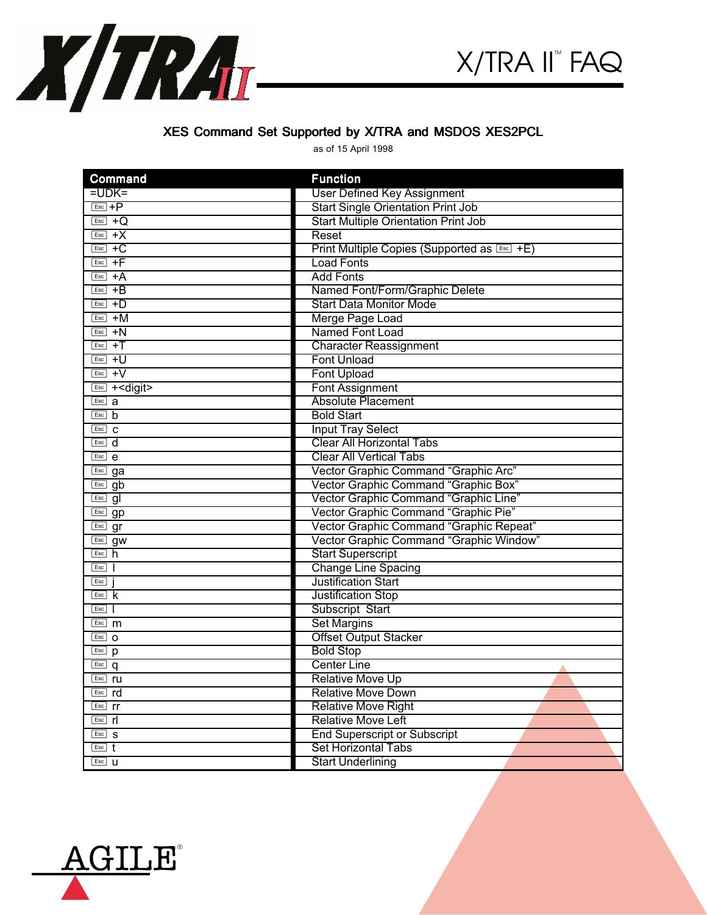

## XES Command Set Supported by X/TRA and MSDOS XES2PCL

as of 15 April 1998

| <b>Command</b>                                                             | <b>Function</b>                              |
|----------------------------------------------------------------------------|----------------------------------------------|
| $=$ UDK $=$                                                                | <b>User Defined Key Assignment</b>           |
| $Esc$ +P                                                                   | <b>Start Single Orientation Print Job</b>    |
| $\boxed{\text{Esc}}$ +Q                                                    | <b>Start Multiple Orientation Print Job</b>  |
| $\overline{ESC}$ +X                                                        | Reset                                        |
| $\boxed{\text{Esc}}$ +C                                                    | Print Multiple Copies (Supported as Esc) +E) |
| $\overline{Esc}$ +F                                                        | <b>Load Fonts</b>                            |
| $\overline{Esc}$ +A                                                        | <b>Add Fonts</b>                             |
| $\boxed{\text{Esc}}$ +B                                                    | Named Font/Form/Graphic Delete               |
| $\overline{ESC}$ +D                                                        | <b>Start Data Monitor Mode</b>               |
| $\overline{Esc}$ +M                                                        | Merge Page Load                              |
| $\overline{ESC}$ +N                                                        | Named Font Load                              |
| $Esc$ +                                                                    | <b>Character Reassignment</b>                |
| $\overline{Esc}$ +U                                                        | <b>Font Unload</b>                           |
| $\overline{Esc}$ +V                                                        | <b>Font Upload</b>                           |
| $Esc$ + < digit>                                                           | <b>Font Assignment</b>                       |
| $\overline{Esc}$ a                                                         | <b>Absolute Placement</b>                    |
| $Esc$ b                                                                    | <b>Bold Start</b>                            |
| $\overline{Esc}$ C                                                         | <b>Input Tray Select</b>                     |
| $\boxed{\mathsf{Esc}}$ d                                                   | <b>Clear All Horizontal Tabs</b>             |
| $\overline{ESC}$ e                                                         | <b>Clear All Vertical Tabs</b>               |
| Esc] ga                                                                    | Vector Graphic Command "Graphic Arc"         |
| $\overline{\phantom{a}}$ Esc gb                                            | Vector Graphic Command "Graphic Box"         |
| $\boxed{\mathsf{Esc}}$ gl                                                  | Vector Graphic Command "Graphic Line"        |
| Esc gp                                                                     | Vector Graphic Command "Graphic Pie"         |
| $\overline{\text{Esc}}$ gr                                                 | Vector Graphic Command "Graphic Repeat"      |
| $\boxed{\mathsf{Esc}}$ gw                                                  | Vector Graphic Command "Graphic Window"      |
| $Esc$ $h$                                                                  | <b>Start Superscript</b>                     |
| Esc<br>$\mathbf{I}$                                                        | <b>Change Line Spacing</b>                   |
| Esc                                                                        | <b>Justification Start</b>                   |
| $\overline{Esc}$ $\overline{k}$                                            | <b>Justification Stop</b>                    |
| $Esc$                                                                      | Subscript Start                              |
| $\overline{Esc}$ m                                                         | <b>Set Margins</b>                           |
| $Esc$ O                                                                    | <b>Offset Output Stacker</b>                 |
| $\overline{\text{Esc}}$ p                                                  | <b>Bold Stop</b>                             |
| $\boxed{\mathsf{Esc}}$ q                                                   | <b>Center Line</b>                           |
| $Esc$ ru                                                                   | <b>Relative Move Up</b>                      |
| $\overline{\phantom{a}}$ rd                                                | <b>Relative Move Down</b>                    |
| $Esc$ rr                                                                   | <b>Relative Move Right</b>                   |
| $Esc$ $r$                                                                  | <b>Relative Move Left</b>                    |
| $Esc$ S                                                                    | <b>End Superscript or Subscript</b>          |
| $\overline{E}$ $\overline{E}$ $\overline{E}$ $\overline{E}$ $\overline{E}$ | <b>Set Horizontal Tabs</b>                   |
| $Esc$ U                                                                    | <b>Start Underlining</b>                     |